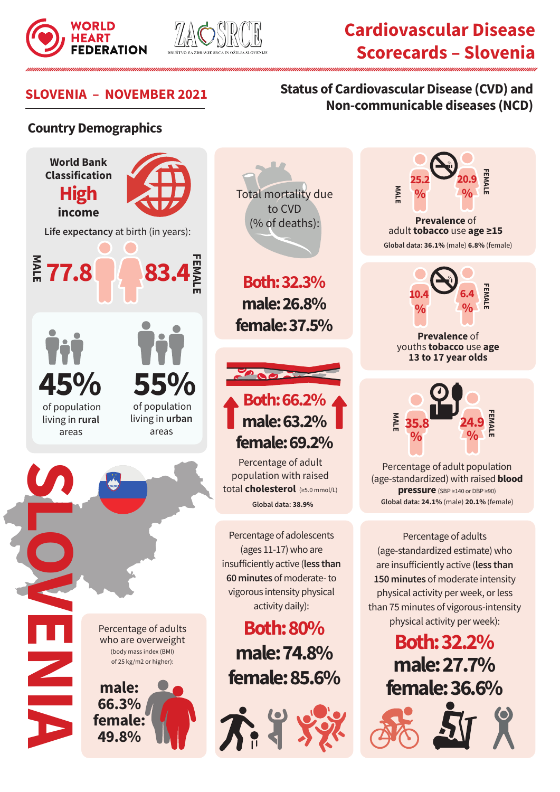



# **Cardiovascular Disease Scorecards – Slovenia**

**Prevalence** of adult **tobacco** use **age ≥15**

**Global data: 36.1%** (male) **6.8%** (female)

**FEMALE**

**20.9**

**%**

**FEMALE**

**6.4**

**%**

**Prevalence** of youths **tobacco** use **age 13 to 17 year olds**

Percentage of adults (age-standardized estimate) who are insufficiently active (**less than 150 minutes** of moderate intensity physical activity per week, or less than 75 minutes of vigorous-intensity physical activity per week):

Percentage of adult population (age-standardized) with raised **blood pressure** (SBP ≥140 or DBP ≥90) **Global data: 24.1%** (male) **20.1%** (female)

 $\frac{1}{2}$  **F**  $\frac{1}{2}$  **F**  $\frac{1}{2}$  **F**  $\frac{1}{2}$  **F**  $\frac{1}{2}$  **F**  $\frac{1}{2}$ **% % 35.8 24.9**

**Both: 32.2%**

**male: 27.7%** 

**female: 36.6%**

### **SLOVENIA – NOVEMBER 2021 Status of Cardiovascular Disease (CVD) and Non-communicable diseases (NCD)**

**MALE**

**25.2**

**%**

**10.4**

**%**

#### **Country Demographics**